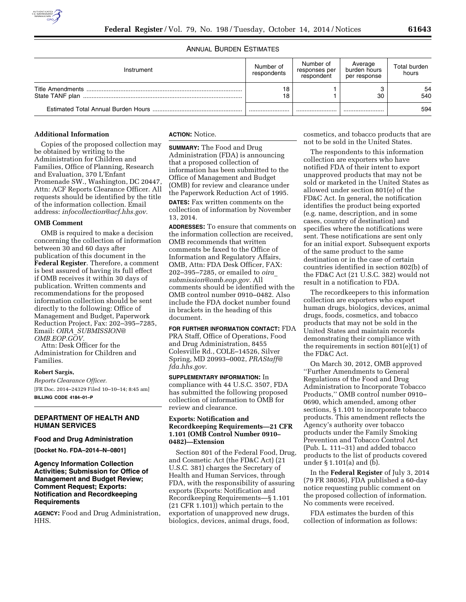

# ANNUAL BURDEN ESTIMATES

| Instrument | Number of<br>respondents | Number of<br>responses per<br>respondent | Average<br>burden hours<br>per response | Total burden<br>hours |
|------------|--------------------------|------------------------------------------|-----------------------------------------|-----------------------|
|            | 18<br>18                 |                                          | 30                                      | 54<br>540             |
|            |                          |                                          |                                         | 594                   |

### **Additional Information**

Copies of the proposed collection may be obtained by writing to the Administration for Children and Families, Office of Planning, Research and Evaluation, 370 L'Enfant Promenade SW., Washington, DC 20447, Attn: ACF Reports Clearance Officer. All requests should be identified by the title of the information collection. Email address: *[infocollection@acf.hhs.gov.](mailto:infocollection@acf.hhs.gov)* 

#### **OMB Comment**

OMB is required to make a decision concerning the collection of information between 30 and 60 days after publication of this document in the **Federal Register**. Therefore, a comment is best assured of having its full effect if OMB receives it within 30 days of publication. Written comments and recommendations for the proposed information collection should be sent directly to the following: Office of Management and Budget, Paperwork Reduction Project, Fax: 202–395–7285, Email: *OIRA*\_*[SUBMISSION@](mailto:OIRA_SUBMISSION@OMB.EOP.GOV) [OMB.EOP.GOV.](mailto:OIRA_SUBMISSION@OMB.EOP.GOV)* 

Attn: Desk Officer for the Administration for Children and Families.

### **Robert Sargis,**

*Reports Clearance Officer.*  [FR Doc. 2014–24329 Filed 10–10–14; 8:45 am] **BILLING CODE 4184–01–P** 

## **DEPARTMENT OF HEALTH AND HUMAN SERVICES**

### **Food and Drug Administration**

**[Docket No. FDA–2014–N–0801]** 

# **Agency Information Collection Activities; Submission for Office of Management and Budget Review; Comment Request; Exports: Notification and Recordkeeping Requirements**

**AGENCY:** Food and Drug Administration, HHS.

**ACTION:** Notice.

**SUMMARY:** The Food and Drug Administration (FDA) is announcing that a proposed collection of information has been submitted to the Office of Management and Budget (OMB) for review and clearance under the Paperwork Reduction Act of 1995. **DATES:** Fax written comments on the collection of information by November 13, 2014.

**ADDRESSES:** To ensure that comments on the information collection are received, OMB recommends that written comments be faxed to the Office of Information and Regulatory Affairs, OMB, Attn: FDA Desk Officer, FAX: 202–395–7285, or emailed to *[oira](mailto:oira_submission@omb.eop.gov)*\_ *[submission@omb.eop.gov.](mailto:oira_submission@omb.eop.gov)* All comments should be identified with the OMB control number 0910–0482. Also include the FDA docket number found in brackets in the heading of this document.

**FOR FURTHER INFORMATION CONTACT:** FDA PRA Staff, Office of Operations, Food and Drug Administration, 8455 Colesville Rd., COLE–14526, Silver Spring, MD 20993–0002, *[PRAStaff@](mailto:PRAStaff@fda.hhs.gov) [fda.hhs.gov.](mailto:PRAStaff@fda.hhs.gov)* 

**SUPPLEMENTARY INFORMATION:** In compliance with 44 U.S.C. 3507, FDA has submitted the following proposed collection of information to OMB for review and clearance.

# **Exports: Notification and Recordkeeping Requirements—21 CFR 1.101 (OMB Control Number 0910– 0482)—Extension**

Section 801 of the Federal Food, Drug, and Cosmetic Act (the FD&C Act) (21 U.S.C. 381) charges the Secretary of Health and Human Services, through FDA, with the responsibility of assuring exports (Exports: Notification and Recordkeeping Requirements—§ 1.101 (21 CFR 1.101)) which pertain to the exportation of unapproved new drugs, biologics, devices, animal drugs, food,

cosmetics, and tobacco products that are not to be sold in the United States.

The respondents to this information collection are exporters who have notified FDA of their intent to export unapproved products that may not be sold or marketed in the United States as allowed under section 801(e) of the FD&C Act. In general, the notification identifies the product being exported (e.g. name, description, and in some cases, country of destination) and specifies where the notifications were sent. These notifications are sent only for an initial export. Subsequent exports of the same product to the same destination or in the case of certain countries identified in section 802(b) of the FD&C Act (21 U.S.C. 382) would not result in a notification to FDA.

The recordkeepers to this information collection are exporters who export human drugs, biologics, devices, animal drugs, foods, cosmetics, and tobacco products that may not be sold in the United States and maintain records demonstrating their compliance with the requirements in section 801(e)(1) of the FD&C Act.

On March 30, 2012, OMB approved ''Further Amendments to General Regulations of the Food and Drug Administration to Incorporate Tobacco Products,'' OMB control number 0910– 0690, which amended, among other sections, § 1.101 to incorporate tobacco products. This amendment reflects the Agency's authority over tobacco products under the Family Smoking Prevention and Tobacco Control Act (Pub. L. 111–31) and added tobacco products to the list of products covered under § 1.101(a) and (b).

In the **Federal Register** of July 3, 2014 (79 FR 38036), FDA published a 60-day notice requesting public comment on the proposed collection of information. No comments were received.

FDA estimates the burden of this collection of information as follows: